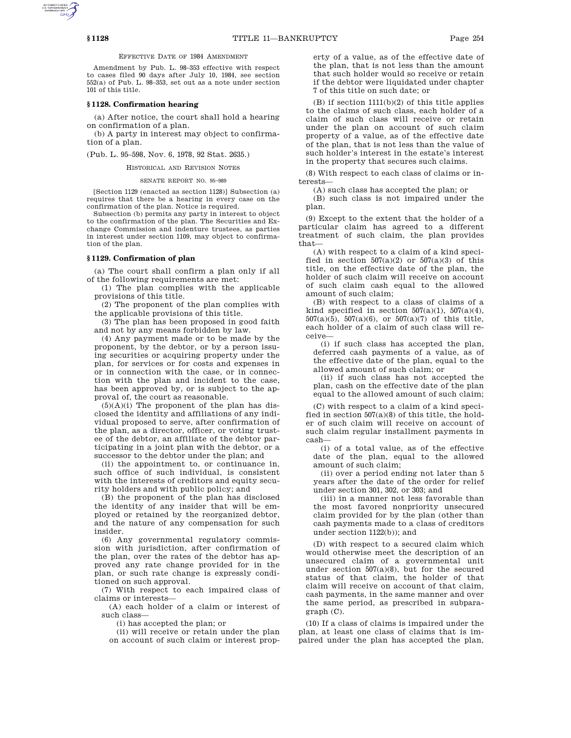## EFFECTIVE DATE OF 1984 AMENDMENT

Amendment by Pub. L. 98–353 effective with respect to cases filed 90 days after July 10, 1984, see section 552(a) of Pub. L. 98–353, set out as a note under section 101 of this title.

### **§ 1128. Confirmation hearing**

(a) After notice, the court shall hold a hearing on confirmation of a plan.

(b) A party in interest may object to confirmation of a plan.

(Pub. L. 95–598, Nov. 6, 1978, 92 Stat. 2635.)

HISTORICAL AND REVISION NOTES

#### SENATE REPORT NO. 95–989

[Section 1129 (enacted as section 1128)] Subsection (a) requires that there be a hearing in every case on the confirmation of the plan. Notice is required.

Subsection (b) permits any party in interest to object to the confirmation of the plan. The Securities and Exchange Commission and indenture trustees, as parties in interest under section 1109, may object to confirmation of the plan.

## **§ 1129. Confirmation of plan**

(a) The court shall confirm a plan only if all of the following requirements are met:

(1) The plan complies with the applicable provisions of this title.

(2) The proponent of the plan complies with the applicable provisions of this title.

(3) The plan has been proposed in good faith and not by any means forbidden by law.

(4) Any payment made or to be made by the proponent, by the debtor, or by a person issuing securities or acquiring property under the plan, for services or for costs and expenses in or in connection with the case, or in connection with the plan and incident to the case, has been approved by, or is subject to the approval of, the court as reasonable.

 $(5)(A)(i)$  The proponent of the plan has disclosed the identity and affiliations of any individual proposed to serve, after confirmation of the plan, as a director, officer, or voting trustee of the debtor, an affiliate of the debtor participating in a joint plan with the debtor, or a successor to the debtor under the plan; and

(ii) the appointment to, or continuance in, such office of such individual, is consistent with the interests of creditors and equity security holders and with public policy; and

(B) the proponent of the plan has disclosed the identity of any insider that will be employed or retained by the reorganized debtor, and the nature of any compensation for such insider.

(6) Any governmental regulatory commission with jurisdiction, after confirmation of the plan, over the rates of the debtor has approved any rate change provided for in the plan, or such rate change is expressly conditioned on such approval.

(7) With respect to each impaired class of claims or interests—

(A) each holder of a claim or interest of such class—

(i) has accepted the plan; or

(ii) will receive or retain under the plan on account of such claim or interest property of a value, as of the effective date of the plan, that is not less than the amount that such holder would so receive or retain if the debtor were liquidated under chapter 7 of this title on such date; or

(B) if section 1111(b)(2) of this title applies to the claims of such class, each holder of a claim of such class will receive or retain under the plan on account of such claim property of a value, as of the effective date of the plan, that is not less than the value of such holder's interest in the estate's interest in the property that secures such claims.

(8) With respect to each class of claims or interests—

(A) such class has accepted the plan; or

(B) such class is not impaired under the plan.

(9) Except to the extent that the holder of a particular claim has agreed to a different treatment of such claim, the plan provides that—

(A) with respect to a claim of a kind specified in section  $507(a)(2)$  or  $507(a)(3)$  of this title, on the effective date of the plan, the holder of such claim will receive on account of such claim cash equal to the allowed amount of such claim;

(B) with respect to a class of claims of a kind specified in section  $507(a)(1)$ ,  $507(a)(4)$ , 507(a)(5), 507(a)(6), or 507(a)(7) of this title, each holder of a claim of such class will receive—

(i) if such class has accepted the plan, deferred cash payments of a value, as of the effective date of the plan, equal to the allowed amount of such claim; or

(ii) if such class has not accepted the plan, cash on the effective date of the plan equal to the allowed amount of such claim;

(C) with respect to a claim of a kind specified in section 507(a)(8) of this title, the holder of such claim will receive on account of such claim regular installment payments in cash—

(i) of a total value, as of the effective date of the plan, equal to the allowed amount of such claim;

(ii) over a period ending not later than 5 years after the date of the order for relief under section 301, 302, or 303; and

(iii) in a manner not less favorable than the most favored nonpriority unsecured claim provided for by the plan (other than cash payments made to a class of creditors under section 1122(b)); and

(D) with respect to a secured claim which would otherwise meet the description of an unsecured claim of a governmental unit under section  $507(a)(8)$ , but for the secured status of that claim, the holder of that claim will receive on account of that claim, cash payments, in the same manner and over the same period, as prescribed in subparagraph (C).

(10) If a class of claims is impaired under the plan, at least one class of claims that is impaired under the plan has accepted the plan,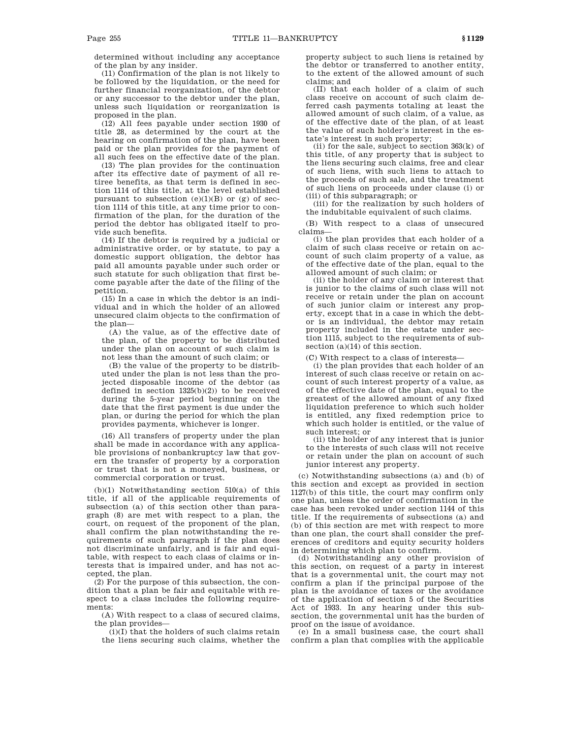determined without including any acceptance of the plan by any insider.

(11) Confirmation of the plan is not likely to be followed by the liquidation, or the need for further financial reorganization, of the debtor or any successor to the debtor under the plan, unless such liquidation or reorganization is proposed in the plan.

(12) All fees payable under section 1930 of title 28, as determined by the court at the hearing on confirmation of the plan, have been paid or the plan provides for the payment of all such fees on the effective date of the plan.

(13) The plan provides for the continuation after its effective date of payment of all retiree benefits, as that term is defined in section 1114 of this title, at the level established pursuant to subsection  $(e)(1)(B)$  or  $(g)$  of section 1114 of this title, at any time prior to confirmation of the plan, for the duration of the period the debtor has obligated itself to provide such benefits.

(14) If the debtor is required by a judicial or administrative order, or by statute, to pay a domestic support obligation, the debtor has paid all amounts payable under such order or such statute for such obligation that first become payable after the date of the filing of the petition.

(15) In a case in which the debtor is an individual and in which the holder of an allowed unsecured claim objects to the confirmation of the plan—

(A) the value, as of the effective date of the plan, of the property to be distributed under the plan on account of such claim is not less than the amount of such claim; or

(B) the value of the property to be distributed under the plan is not less than the projected disposable income of the debtor (as defined in section 1325(b)(2)) to be received during the 5-year period beginning on the date that the first payment is due under the plan, or during the period for which the plan provides payments, whichever is longer.

(16) All transfers of property under the plan shall be made in accordance with any applicable provisions of nonbankruptcy law that govern the transfer of property by a corporation or trust that is not a moneyed, business, or commercial corporation or trust.

(b)(1) Notwithstanding section 510(a) of this title, if all of the applicable requirements of subsection (a) of this section other than paragraph (8) are met with respect to a plan, the court, on request of the proponent of the plan, shall confirm the plan notwithstanding the requirements of such paragraph if the plan does not discriminate unfairly, and is fair and equitable, with respect to each class of claims or interests that is impaired under, and has not accepted, the plan.

(2) For the purpose of this subsection, the condition that a plan be fair and equitable with respect to a class includes the following requirements:

(A) With respect to a class of secured claims, the plan provides—

(i)(I) that the holders of such claims retain the liens securing such claims, whether the property subject to such liens is retained by the debtor or transferred to another entity, to the extent of the allowed amount of such claims; and

(II) that each holder of a claim of such class receive on account of such claim deferred cash payments totaling at least the allowed amount of such claim, of a value, as of the effective date of the plan, of at least the value of such holder's interest in the estate's interest in such property;

(ii) for the sale, subject to section 363(k) of this title, of any property that is subject to the liens securing such claims, free and clear of such liens, with such liens to attach to the proceeds of such sale, and the treatment of such liens on proceeds under clause (i) or (iii) of this subparagraph; or

(iii) for the realization by such holders of the indubitable equivalent of such claims.

(B) With respect to a class of unsecured claims—

(i) the plan provides that each holder of a claim of such class receive or retain on account of such claim property of a value, as of the effective date of the plan, equal to the allowed amount of such claim; or

(ii) the holder of any claim or interest that is junior to the claims of such class will not receive or retain under the plan on account of such junior claim or interest any property, except that in a case in which the debtor is an individual, the debtor may retain property included in the estate under section 1115, subject to the requirements of subsection (a)(14) of this section.

(C) With respect to a class of interests—

(i) the plan provides that each holder of an interest of such class receive or retain on account of such interest property of a value, as of the effective date of the plan, equal to the greatest of the allowed amount of any fixed liquidation preference to which such holder is entitled, any fixed redemption price to which such holder is entitled, or the value of such interest; or

(ii) the holder of any interest that is junior to the interests of such class will not receive or retain under the plan on account of such junior interest any property.

(c) Notwithstanding subsections (a) and (b) of this section and except as provided in section 1127(b) of this title, the court may confirm only one plan, unless the order of confirmation in the case has been revoked under section 1144 of this title. If the requirements of subsections (a) and (b) of this section are met with respect to more than one plan, the court shall consider the preferences of creditors and equity security holders in determining which plan to confirm.

(d) Notwithstanding any other provision of this section, on request of a party in interest that is a governmental unit, the court may not confirm a plan if the principal purpose of the plan is the avoidance of taxes or the avoidance of the application of section 5 of the Securities Act of 1933. In any hearing under this subsection, the governmental unit has the burden of proof on the issue of avoidance.

(e) In a small business case, the court shall confirm a plan that complies with the applicable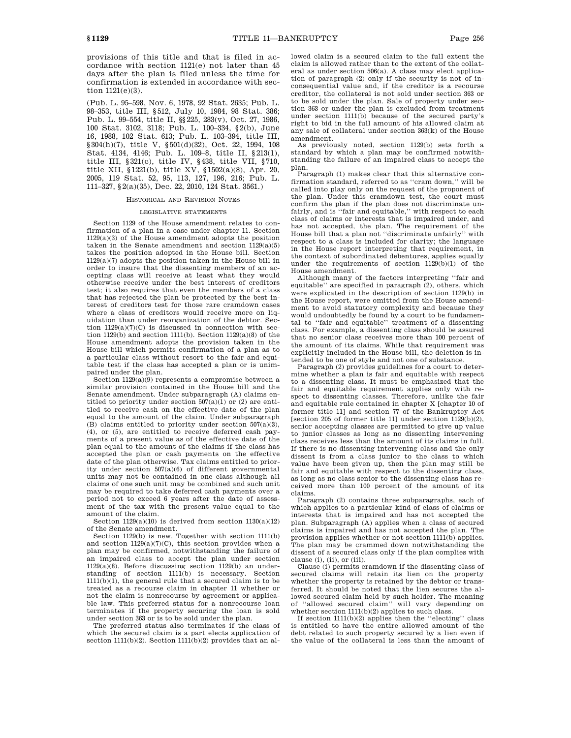provisions of this title and that is filed in accordance with section 1121(e) not later than 45 days after the plan is filed unless the time for confirmation is extended in accordance with section 1121(e)(3).

(Pub. L. 95–598, Nov. 6, 1978, 92 Stat. 2635; Pub. L. 98–353, title III, §512, July 10, 1984, 98 Stat. 386; Pub. L. 99–554, title II, §§225, 283(v), Oct. 27, 1986, 100 Stat. 3102, 3118; Pub. L. 100–334, §2(b), June 16, 1988, 102 Stat. 613; Pub. L. 103–394, title III, §304(h)(7), title V, §501(d)(32), Oct. 22, 1994, 108 Stat. 4134, 4146; Pub. L. 109–8, title II, §213(1), title III, §321(c), title IV, §438, title VII, §710, title XII, §1221(b), title XV, §1502(a)(8), Apr. 20, 2005, 119 Stat. 52, 95, 113, 127, 196, 216; Pub. L. 111–327, §2(a)(35), Dec. 22, 2010, 124 Stat. 3561.)

# HISTORICAL AND REVISION NOTES

### LEGISLATIVE STATEMENTS

Section 1129 of the House amendment relates to confirmation of a plan in a case under chapter 11. Section 1129(a)(3) of the House amendment adopts the position taken in the Senate amendment and section 1129(a)(5) takes the position adopted in the House bill. Section 1129(a)(7) adopts the position taken in the House bill in order to insure that the dissenting members of an accepting class will receive at least what they would otherwise receive under the best interest of creditors test; it also requires that even the members of a class that has rejected the plan be protected by the best interest of creditors test for those rare cramdown cases where a class of creditors would receive more on liquidation than under reorganization of the debtor. Section  $1129(a)(7)(C)$  is discussed in connection with section 1129(b) and section 1111(b). Section 1129(a)(8) of the House amendment adopts the provision taken in the House bill which permits confirmation of a plan as to a particular class without resort to the fair and equitable test if the class has accepted a plan or is unimpaired under the plan.

Section  $1129(a)(9)$  represents a compromise between  $\bf a$ similar provision contained in the House bill and the Senate amendment. Under subparagraph (A) claims entitled to priority under section  $507(a)(1)$  or (2) are entitled to receive cash on the effective date of the plan equal to the amount of the claim. Under subparagraph (B) claims entitled to priority under section 507(a)(3), (4), or (5), are entitled to receive deferred cash payments of a present value as of the effective date of the plan equal to the amount of the claims if the class has accepted the plan or cash payments on the effective date of the plan otherwise. Tax claims entitled to priority under section 507(a)(6) of different governmental units may not be contained in one class although all claims of one such unit may be combined and such unit may be required to take deferred cash payments over a period not to exceed 6 years after the date of assessment of the tax with the present value equal to the amount of the claim.

Section  $1129(a)(10)$  is derived from section  $1130(a)(12)$ of the Senate amendment.

Section 1129(b) is new. Together with section 1111(b) and section  $1129(a)(7)(C)$ , this section provides when a plan may be confirmed, notwithstanding the failure of an impaired class to accept the plan under section 1129(a)(8). Before discussing section 1129(b) an understanding of section 1111(b) is necessary. Section  $1111(b)(1)$ , the general rule that a secured claim is to be treated as a recourse claim in chapter 11 whether or not the claim is nonrecourse by agreement or applicable law. This preferred status for a nonrecourse loan terminates if the property securing the loan is sold under section 363 or is to be sold under the plan.

The preferred status also terminates if the class of which the secured claim is a part elects application of section 1111(b)(2). Section 1111(b)(2) provides that an allowed claim is a secured claim to the full extent the claim is allowed rather than to the extent of the collateral as under section 506(a). A class may elect application of paragraph (2) only if the security is not of inconsequential value and, if the creditor is a recourse creditor, the collateral is not sold under section 363 or to be sold under the plan. Sale of property under section 363 or under the plan is excluded from treatment under section 1111(b) because of the secured party's right to bid in the full amount of his allowed claim at any sale of collateral under section 363(k) of the House amendment.

As previously noted, section 1129(b) sets forth a standard by which a plan may be confirmed notwithstanding the failure of an impaired class to accept the plan.

Paragraph (1) makes clear that this alternative confirmation standard, referred to as ''cram down,'' will be called into play only on the request of the proponent of the plan. Under this cramdown test, the court must confirm the plan if the plan does not discriminate unfairly, and is ''fair and equitable,'' with respect to each class of claims or interests that is impaired under, and has not accepted, the plan. The requirement of the House bill that a plan not ''discriminate unfairly'' with respect to a class is included for clarity; the language in the House report interpreting that requirement, in the context of subordinated debentures, applies equally under the requirements of section 1129(b)(1) of the House amendment.

Although many of the factors interpreting ''fair and equitable'' are specified in paragraph (2), others, which were explicated in the description of section 1129(b) in the House report, were omitted from the House amendment to avoid statutory complexity and because they would undoubtedly be found by a court to be fundamental to ''fair and equitable'' treatment of a dissenting class. For example, a dissenting class should be assured that no senior class receives more than 100 percent of the amount of its claims. While that requirement was explicitly included in the House bill, the deletion is intended to be one of style and not one of substance.

Paragraph (2) provides guidelines for a court to determine whether a plan is fair and equitable with respect to a dissenting class. It must be emphasized that the fair and equitable requirement applies only with respect to dissenting classes. Therefore, unlike the fair and equitable rule contained in chapter X [chapter 10 of former title 11] and section 77 of the Bankruptcy Act  $[section 205 of former title 111 under section 1129(b)(2)].$ senior accepting classes are permitted to give up value to junior classes as long as no dissenting intervening class receives less than the amount of its claims in full. If there is no dissenting intervening class and the only dissent is from a class junior to the class to which value have been given up, then the plan may still be fair and equitable with respect to the dissenting class, as long as no class senior to the dissenting class has received more than 100 percent of the amount of its claims.

Paragraph (2) contains three subparagraphs, each of which applies to a particular kind of class of claims or interests that is impaired and has not accepted the plan. Subparagraph (A) applies when a class of secured claims is impaired and has not accepted the plan. The provision applies whether or not section 1111(b) applies. The plan may be crammed down notwithstanding the dissent of a secured class only if the plan complies with  $\emph{clause}$  (i), (ii), or (iii).

Clause (i) permits cramdown if the dissenting class of secured claims will retain its lien on the property whether the property is retained by the debtor or transferred. It should be noted that the lien secures the allowed secured claim held by such holder. The meaning of ''allowed secured claim'' will vary depending on whether section 1111(b)(2) applies to such class.

If section 1111(b)(2) applies then the ''electing'' class is entitled to have the entire allowed amount of the debt related to such property secured by a lien even if the value of the collateral is less than the amount of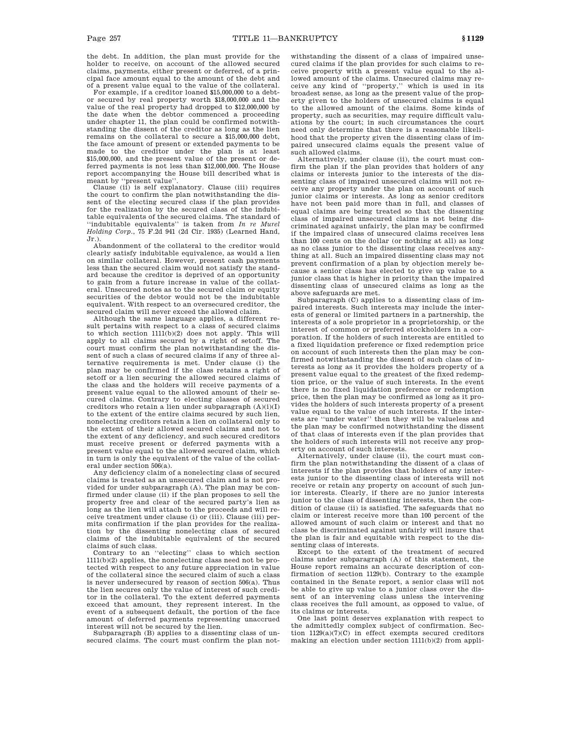the debt. In addition, the plan must provide for the holder to receive, on account of the allowed secured claims, payments, either present or deferred, of a principal face amount equal to the amount of the debt and of a present value equal to the value of the collateral.

For example, if a creditor loaned \$15,000,000 to a debtor secured by real property worth \$18,000,000 and the value of the real property had dropped to \$12,000,000 by the date when the debtor commenced a proceeding under chapter 11, the plan could be confirmed notwithstanding the dissent of the creditor as long as the lien remains on the collateral to secure a \$15,000,000 debt, the face amount of present or extended payments to be made to the creditor under the plan is at least \$15,000,000, and the present value of the present or deferred payments is not less than \$12,000,000. The House report accompanying the House bill described what is meant by ''present value''.

Clause (ii) is self explanatory. Clause (iii) requires the court to confirm the plan notwithstanding the dissent of the electing secured class if the plan provides for the realization by the secured class of the indubitable equivalents of the secured claims. The standard of ''indubitable equivalents'' is taken from *In re Murel Holding Corp*., 75 F.2d 941 (2d Cir. 1935) (Learned Hand, Jr.).

Abandonment of the collateral to the creditor would clearly satisfy indubitable equivalence, as would a lien on similar collateral. However, present cash payments less than the secured claim would not satisfy the standard because the creditor is deprived of an opportunity to gain from a future increase in value of the collateral. Unsecured notes as to the secured claim or equity securities of the debtor would not be the indubitable equivalent. With respect to an oversecured creditor, the secured claim will never exceed the allowed claim.

Although the same language applies, a different result pertains with respect to a class of secured claims to which section 1111(b)(2) does not apply. This will apply to all claims secured by a right of setoff. The court must confirm the plan notwithstanding the dissent of such a class of secured claims if any of three alternative requirements is met. Under clause (i) the plan may be confirmed if the class retains a right of setoff or a lien securing the allowed secured claims of the class and the holders will receive payments of a present value equal to the allowed amount of their secured claims. Contrary to electing classes of secured creditors who retain a lien under subparagraph  $(A)(i)(I)$ to the extent of the entire claims secured by such lien, nonelecting creditors retain a lien on collateral only to the extent of their allowed secured claims and not to the extent of any deficiency, and such secured creditors must receive present or deferred payments with a present value equal to the allowed secured claim, which in turn is only the equivalent of the value of the collateral under section 506(a).

Any deficiency claim of a nonelecting class of secured claims is treated as an unsecured claim and is not provided for under subparagraph (A). The plan may be confirmed under clause (ii) if the plan proposes to sell the property free and clear of the secured party's lien as long as the lien will attach to the proceeds and will receive treatment under clause (i) or (iii). Clause (iii) permits confirmation if the plan provides for the realization by the dissenting nonelecting class of secured claims of the indubitable equivalent of the secured

claims of such class. Contrary to an ''electing'' class to which section 1111(b)(2) applies, the nonelecting class need not be protected with respect to any future appreciation in value of the collateral since the secured claim of such a class is never undersecured by reason of section 506(a). Thus the lien secures only the value of interest of such creditor in the collateral. To the extent deferred payments exceed that amount, they represent interest. In the event of a subsequent default, the portion of the face amount of deferred payments representing unaccrued interest will not be secured by the lien.

Subparagraph (B) applies to a dissenting class of unsecured claims. The court must confirm the plan notwithstanding the dissent of a class of impaired unsecured claims if the plan provides for such claims to receive property with a present value equal to the allowed amount of the claims. Unsecured claims may receive any kind of ''property,'' which is used in its broadest sense, as long as the present value of the property given to the holders of unsecured claims is equal to the allowed amount of the claims. Some kinds of property, such as securities, may require difficult valuations by the court; in such circumstances the court need only determine that there is a reasonable likelihood that the property given the dissenting class of impaired unsecured claims equals the present value of such allowed claims.

Alternatively, under clause (ii), the court must confirm the plan if the plan provides that holders of any claims or interests junior to the interests of the dissenting class of impaired unsecured claims will not receive any property under the plan on account of such junior claims or interests. As long as senior creditors have not been paid more than in full, and classes of equal claims are being treated so that the dissenting class of impaired unsecured claims is not being discriminated against unfairly, the plan may be confirmed if the impaired class of unsecured claims receives less than 100 cents on the dollar (or nothing at all) as long as no class junior to the dissenting class receives anything at all. Such an impaired dissenting class may not prevent confirmation of a plan by objection merely because a senior class has elected to give up value to a junior class that is higher in priority than the impaired dissenting class of unsecured claims as long as the above safeguards are met.

Subparagraph (C) applies to a dissenting class of impaired interests. Such interests may include the interests of general or limited partners in a partnership, the interests of a sole proprietor in a proprietorship, or the interest of common or preferred stockholders in a corporation. If the holders of such interests are entitled to a fixed liquidation preference or fixed redemption price on account of such interests then the plan may be confirmed notwithstanding the dissent of such class of interests as long as it provides the holders property of a present value equal to the greatest of the fixed redemption price, or the value of such interests. In the event there is no fixed liquidation preference or redemption price, then the plan may be confirmed as long as it provides the holders of such interests property of a present value equal to the value of such interests. If the interests are ''under water'' then they will be valueless and the plan may be confirmed notwithstanding the dissent of that class of interests even if the plan provides that the holders of such interests will not receive any property on account of such interests.

Alternatively, under clause (ii), the court must confirm the plan notwithstanding the dissent of a class of interests if the plan provides that holders of any interests junior to the dissenting class of interests will not receive or retain any property on account of such junior interests. Clearly, if there are no junior interests junior to the class of dissenting interests, then the condition of clause (ii) is satisfied. The safeguards that no claim or interest receive more than 100 percent of the allowed amount of such claim or interest and that no class be discriminated against unfairly will insure that the plan is fair and equitable with respect to the dissenting class of interests.

Except to the extent of the treatment of secured claims under subparagraph (A) of this statement, the House report remains an accurate description of confirmation of section 1129(b). Contrary to the example contained in the Senate report, a senior class will not be able to give up value to a junior class over the dissent of an intervening class unless the intervening class receives the full amount, as opposed to value, of its claims or interests.

One last point deserves explanation with respect to the admittedly complex subject of confirmation. Section 1129(a)(7)(C) in effect exempts secured creditors making an election under section  $1111(b)(2)$  from appli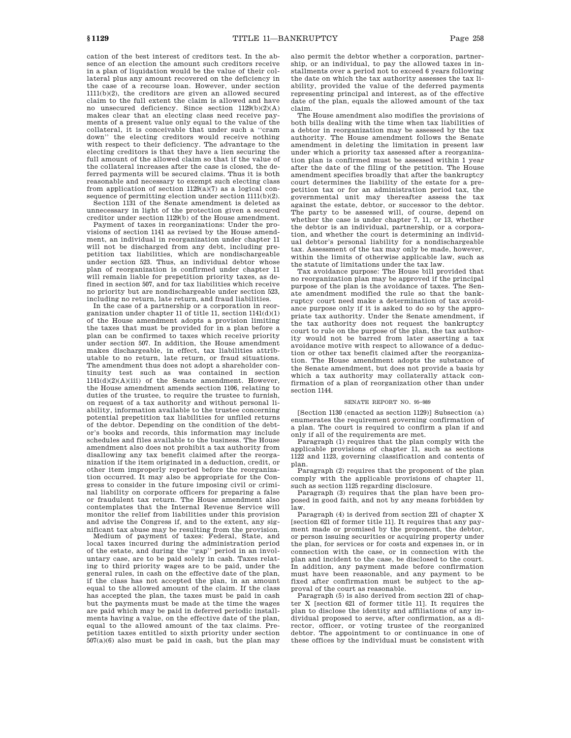cation of the best interest of creditors test. In the absence of an election the amount such creditors receive in a plan of liquidation would be the value of their collateral plus any amount recovered on the deficiency in the case of a recourse loan. However, under section 1111(b)(2), the creditors are given an allowed secured claim to the full extent the claim is allowed and have no unsecured deficiency. Since section 1129(b)(2)(A) makes clear that an electing class need receive payments of a present value only equal to the value of the collateral, it is conceivable that under such a ''cram down'' the electing creditors would receive nothing with respect to their deficiency. The advantage to the electing creditors is that they have a lien securing the full amount of the allowed claim so that if the value of the collateral increases after the case is closed, the deferred payments will be secured claims. Thus it is both reasonable and necessary to exempt such electing class from application of section  $1129(a)(7)$  as a logical consequence of permitting election under section 1111(b)(2).

Section 1131 of the Senate amendment is deleted as unnecessary in light of the protection given a secured creditor under section 1129(b) of the House amendment.

Payment of taxes in reorganizations: Under the provisions of section 1141 as revised by the House amendment, an individual in reorganization under chapter 11 will not be discharged from any debt, including prepetition tax liabilities, which are nondischargeable under section 523. Thus, an individual debtor whose plan of reorganization is confirmed under chapter 11 will remain liable for prepetition priority taxes, as defined in section 507, and for tax liabilities which receive no priority but are nondischargeable under section 523, including no return, late return, and fraud liabilities.

In the case of a partnership or a corporation in reorganization under chapter 11 of title 11, section 1141(d)(1) of the House amendment adopts a provision limiting the taxes that must be provided for in a plan before a plan can be confirmed to taxes which receive priority under section 507. In addition, the House amendment makes dischargeable, in effect, tax liabilities attributable to no return, late return, or fraud situations. The amendment thus does not adopt a shareholder continuity test such as was contained in section 1141(d)(2)(A)(iii) of the Senate amendment. However, the House amendment amends section 1106, relating to duties of the trustee, to require the trustee to furnish, on request of a tax authority and without personal liability, information available to the trustee concerning potential prepetition tax liabilities for unfiled returns of the debtor. Depending on the condition of the debtor's books and records, this information may include schedules and files available to the business. The House amendment also does not prohibit a tax authority from disallowing any tax benefit claimed after the reorganization if the item originated in a deduction, credit, or other item improperly reported before the reorganization occurred. It may also be appropriate for the Congress to consider in the future imposing civil or criminal liability on corporate officers for preparing a false or fraudulent tax return. The House amendment also contemplates that the Internal Revenue Service will monitor the relief from liabilities under this provision and advise the Congress if, and to the extent, any significant tax abuse may be resulting from the provision.

Medium of payment of taxes: Federal, State, and local taxes incurred during the administration period of the estate, and during the ''gap'' period in an involuntary case, are to be paid solely in cash. Taxes relating to third priority wages are to be paid, under the general rules, in cash on the effective date of the plan, if the class has not accepted the plan, in an amount equal to the allowed amount of the claim. If the class has accepted the plan, the taxes must be paid in cash but the payments must be made at the time the wages are paid which may be paid in deferred periodic installments having a value, on the effective date of the plan, equal to the allowed amount of the tax claims. Prepetition taxes entitled to sixth priority under section  $507(a)(6)$  also must be paid in cash, but the plan may

also permit the debtor whether a corporation, partnership, or an individual, to pay the allowed taxes in installments over a period not to exceed 6 years following the date on which the tax authority assesses the tax liability, provided the value of the deferred payments representing principal and interest, as of the effective date of the plan, equals the allowed amount of the tax claim.

The House amendment also modifies the provisions of both bills dealing with the time when tax liabilities of a debtor in reorganization may be assessed by the tax authority. The House amendment follows the Senate amendment in deleting the limitation in present law under which a priority tax assessed after a reorganization plan is confirmed must be assessed within 1 year after the date of the filing of the petition. The House amendment specifies broadly that after the bankruptcy court determines the liability of the estate for a prepetition tax or for an administration period tax, the governmental unit may thereafter assess the tax against the estate, debtor, or successor to the debtor. The party to be assessed will, of course, depend on whether the case is under chapter 7, 11, or 13, whether the debtor is an individual, partnership, or a corporation, and whether the court is determining an individual debtor's personal liability for a nondischargeable tax. Assessment of the tax may only be made, however, within the limits of otherwise applicable law, such as

the statute of limitations under the tax law. Tax avoidance purpose: The House bill provided that no reorganization plan may be approved if the principal purpose of the plan is the avoidance of taxes. The Senate amendment modified the rule so that the bankruptcy court need make a determination of tax avoidance purpose only if it is asked to do so by the appropriate tax authority. Under the Senate amendment, if the tax authority does not request the bankruptcy court to rule on the purpose of the plan, the tax authority would not be barred from later asserting a tax avoidance motive with respect to allowance of a deduction or other tax benefit claimed after the reorganization. The House amendment adopts the substance of the Senate amendment, but does not provide a basis by which a tax authority may collaterally attack confirmation of a plan of reorganization other than under section 1144.

### SENATE REPORT NO. 95–989

[Section 1130 (enacted as section 1129)] Subsection (a) enumerates the requirement governing confirmation of a plan. The court is required to confirm a plan if and only if all of the requirements are met.

Paragraph (1) requires that the plan comply with the applicable provisions of chapter 11, such as sections 1122 and 1123, governing classification and contents of plan.

Paragraph (2) requires that the proponent of the plan comply with the applicable provisions of chapter 11,

such as section 1125 regarding disclosure. Paragraph (3) requires that the plan have been proposed in good faith, and not by any means forbidden by law.

Paragraph (4) is derived from section 221 of chapter X [section 621 of former title 11]. It requires that any payment made or promised by the proponent, the debtor, or person issuing securities or acquiring property under the plan, for services or for costs and expenses in, or in connection with the case, or in connection with the plan and incident to the case, be disclosed to the court. In addition, any payment made before confirmation must have been reasonable, and any payment to be fixed after confirmation must be subject to the approval of the court as reasonable.

Paragraph (5) is also derived from section 221 of chapter X [section 621 of former title 11]. It requires the plan to disclose the identity and affiliations of any individual proposed to serve, after confirmation, as a director, officer, or voting trustee of the reorganized debtor. The appointment to or continuance in one of these offices by the individual must be consistent with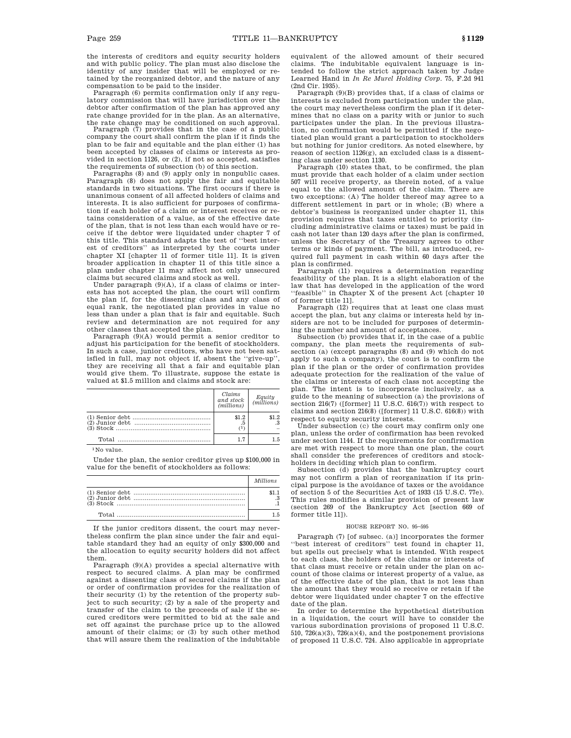the interests of creditors and equity security holders and with public policy. The plan must also disclose the identity of any insider that will be employed or retained by the reorganized debtor, and the nature of any compensation to be paid to the insider.

Paragraph (6) permits confirmation only if any regulatory commission that will have jurisdiction over the debtor after confirmation of the plan has approved any rate change provided for in the plan. As an alternative, the rate change may be conditioned on such approval.

Paragraph (7) provides that in the case of a public company the court shall confirm the plan if it finds the plan to be fair and equitable and the plan either (1) has been accepted by classes of claims or interests as provided in section 1126, or (2), if not so accepted, satisfies the requirements of subsection (b) of this section.

Paragraphs (8) and (9) apply only in nonpublic cases. Paragraph (8) does not apply the fair and equitable standards in two situations. The first occurs if there is unanimous consent of all affected holders of claims and interests. It is also sufficient for purposes of confirmation if each holder of a claim or interest receives or retains consideration of a value, as of the effective date of the plan, that is not less than each would have or receive if the debtor were liquidated under chapter 7 of this title. This standard adapts the test of ''best interest of creditors'' as interpreted by the courts under chapter XI [chapter 11 of former title 11]. It is given broader application in chapter 11 of this title since a plan under chapter 11 may affect not only unsecured claims but secured claims and stock as well.

Under paragraph (9)(A), if a class of claims or interests has not accepted the plan, the court will confirm the plan if, for the dissenting class and any class of equal rank, the negotiated plan provides in value no less than under a plan that is fair and equitable. Such review and determination are not required for any other classes that accepted the plan.

Paragraph (9)(A) would permit a senior creditor to adjust his participation for the benefit of stockholders. In such a case, junior creditors, who have not been satisfied in full, may not object if, absent the ''give-up'', they are receiving all that a fair and equitable plan would give them. To illustrate, suppose the estate is valued at \$1.5 million and claims and stock are:

| Claims<br>and stock<br>(millions) | Equity<br>(millions) |
|-----------------------------------|----------------------|
| \$1.2<br>.5                       | \$12                 |
| 17                                | 1.5                  |

<sup>1</sup> No value.

Under the plan, the senior creditor gives up \$100,000 in value for the benefit of stockholders as follows:

| Millions |
|----------|
|          |
|          |

If the junior creditors dissent, the court may nevertheless confirm the plan since under the fair and equitable standard they had an equity of only \$300,000 and the allocation to equity security holders did not affect them.

Paragraph (9)(A) provides a special alternative with respect to secured claims. A plan may be confirmed against a dissenting class of secured claims if the plan or order of confirmation provides for the realization of their security (1) by the retention of the property subject to such security; (2) by a sale of the property and transfer of the claim to the proceeds of sale if the secured creditors were permitted to bid at the sale and set off against the purchase price up to the allowed amount of their claims; or (3) by such other method that will assure them the realization of the indubitable

equivalent of the allowed amount of their secured claims. The indubitable equivalent language is intended to follow the strict approach taken by Judge Learned Hand in *In Re Murel Holding Corp*. 75, F.2d 941 (2nd Cir. 1935).

Paragraph (9)(B) provides that, if a class of claims or interests is excluded from participation under the plan, the court may nevertheless confirm the plan if it determines that no class on a parity with or junior to such participates under the plan. In the previous illustration, no confirmation would be permitted if the negotiated plan would grant a participation to stockholders but nothing for junior creditors. As noted elsewhere, by reason of section 1126(g), an excluded class is a dissenting class under section 1130.

Paragraph (10) states that, to be confirmed, the plan must provide that each holder of a claim under section 507 will receive property, as therein noted, of a value equal to the allowed amount of the claim. There are two exceptions: (A) The holder thereof may agree to a different settlement in part or in whole; (B) where a debtor's business is reorganized under chapter 11, this provision requires that taxes entitled to priority (including administrative claims or taxes) must be paid in cash not later than 120 days after the plan is confirmed, unless the Secretary of the Treasury agrees to other terms or kinds of payment. The bill, as introduced, required full payment in cash within 60 days after the plan is confirmed.

Paragraph (11) requires a determination regarding feasibility of the plan. It is a slight elaboration of the law that has developed in the application of the word ''feasible'' in Chapter X of the present Act [chapter 10 of former title 11].

Paragraph (12) requires that at least one class must accept the plan, but any claims or interests held by insiders are not to be included for purposes of determining the number and amount of acceptances.

Subsection (b) provides that if, in the case of a public company, the plan meets the requirements of subsection (a) (except paragraphs (8) and (9) which do not apply to such a company), the court is to confirm the plan if the plan or the order of confirmation provides adequate protection for the realization of the value of the claims or interests of each class not accepting the plan. The intent is to incorporate inclusively, as a guide to the meaning of subsection (a) the provisions of section  $216(7)$  ([former] 11 U.S.C.  $616(7)$ ) with respect to claims and section 216(8) ([former] 11 U.S.C. 616(8)) with respect to equity security interests.

Under subsection (c) the court may confirm only one plan, unless the order of confirmation has been revoked under section 1144. If the requirements for confirmation are met with respect to more than one plan, the court shall consider the preferences of creditors and stockholders in deciding which plan to confirm.

Subsection (d) provides that the bankruptcy court may not confirm a plan of reorganization if its principal purpose is the avoidance of taxes or the avoidance of section 5 of the Securities Act of 1933 (15 U.S.C. 77e). This rules modifies a similar provision of present law (section 269 of the Bankruptcy Act [section 669 of former title 11]).

### HOUSE REPORT NO. 95–595

Paragraph (7) [of subsec. (a)] incorporates the former ''best interest of creditors'' test found in chapter 11, but spells out precisely what is intended. With respect to each class, the holders of the claims or interests of that class must receive or retain under the plan on account of those claims or interest property of a value, as of the effective date of the plan, that is not less than the amount that they would so receive or retain if the debtor were liquidated under chapter 7 on the effective date of the plan.

In order to determine the hypothetical distribution in a liquidation, the court will have to consider the various subordination provisions of proposed 11 U.S.C. 510, 726(a)(3), 726(a)(4), and the postponement provisions of proposed 11 U.S.C. 724. Also applicable in appropriate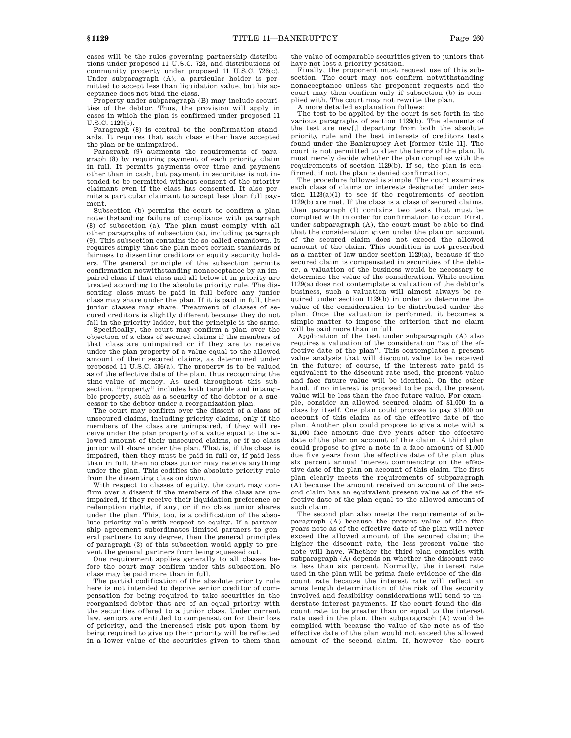cases will be the rules governing partnership distributions under proposed 11 U.S.C. 723, and distributions of community property under proposed 11 U.S.C. 726(c). Under subparagraph (A), a particular holder is permitted to accept less than liquidation value, but his acceptance does not bind the class.

Property under subparagraph (B) may include securities of the debtor. Thus, the provision will apply in cases in which the plan is confirmed under proposed 11 U.S.C. 1129(b).

Paragraph (8) is central to the confirmation standards. It requires that each class either have accepted the plan or be unimpaired.

Paragraph (9) augments the requirements of paragraph (8) by requiring payment of each priority claim in full. It permits payments over time and payment other than in cash, but payment in securities is not intended to be permitted without consent of the priority claimant even if the class has consented. It also permits a particular claimant to accept less than full payment.

Subsection (b) permits the court to confirm a plan notwithstanding failure of compliance with paragraph (8) of subsection (a). The plan must comply with all other paragraphs of subsection (a), including paragraph (9). This subsection contains the so-called cramdown. It requires simply that the plan meet certain standards of fairness to dissenting creditors or equity security holders. The general principle of the subsection permits confirmation notwithstanding nonacceptance by an impaired class if that class and all below it in priority are treated according to the absolute priority rule. The dissenting class must be paid in full before any junior class may share under the plan. If it is paid in full, then junior classes may share. Treatment of classes of secured creditors is slightly different because they do not fall in the priority ladder, but the principle is the same.

Specifically, the court may confirm a plan over the objection of a class of secured claims if the members of that class are unimpaired or if they are to receive under the plan property of a value equal to the allowed amount of their secured claims, as determined under proposed 11 U.S.C. 506(a). The property is to be valued as of the effective date of the plan, thus recognizing the time-value of money. As used throughout this subsection, "property" includes both tangible and intangible property, such as a security of the debtor or a successor to the debtor under a reorganization plan.

The court may confirm over the dissent of a class of unsecured claims, including priority claims, only if the members of the class are unimpaired, if they will receive under the plan property of a value equal to the allowed amount of their unsecured claims, or if no class junior will share under the plan. That is, if the class is impaired, then they must be paid in full or, if paid less than in full, then no class junior may receive anything under the plan. This codifies the absolute priority rule from the dissenting class on down.

With respect to classes of equity, the court may confirm over a dissent if the members of the class are unimpaired, if they receive their liquidation preference or redemption rights, if any, or if no class junior shares under the plan. This, too, is a codification of the absolute priority rule with respect to equity. If a partnership agreement subordinates limited partners to general partners to any degree, then the general principles of paragraph (3) of this subsection would apply to prevent the general partners from being squeezed out.

One requirement applies generally to all classes before the court may confirm under this subsection. No class may be paid more than in full.

The partial codification of the absolute priority rule here is not intended to deprive senior creditor of compensation for being required to take securities in the reorganized debtor that are of an equal priority with the securities offered to a junior class. Under current law, seniors are entitled to compensation for their loss of priority, and the increased risk put upon them by being required to give up their priority will be reflected in a lower value of the securities given to them than

the value of comparable securities given to juniors that have not lost a priority position.

Finally, the proponent must request use of this subsection. The court may not confirm notwithstanding nonacceptance unless the proponent requests and the court may then confirm only if subsection (b) is complied with. The court may not rewrite the plan.

A more detailed explanation follows:

The test to be applied by the court is set forth in the various paragraphs of section 1129(b). The elements of the test are new[,] departing from both the absolute priority rule and the best interests of creditors tests found under the Bankruptcy Act [former title 11]. The court is not permitted to alter the terms of the plan. It must merely decide whether the plan complies with the requirements of section 1129(b). If so, the plan is confirmed, if not the plan is denied confirmation.

The procedure followed is simple. The court examines each class of claims or interests designated under section  $1123(a)(1)$  to see if the requirements of section 1129(b) are met. If the class is a class of secured claims, then paragraph (1) contains two tests that must be complied with in order for confirmation to occur. First, under subparagraph (A), the court must be able to find that the consideration given under the plan on account of the secured claim does not exceed the allowed amount of the claim. This condition is not prescribed as a matter of law under section 1129(a), because if the secured claim is compensated in securities of the debtor, a valuation of the business would be necessary to determine the value of the consideration. While section 1129(a) does not contemplate a valuation of the debtor's business, such a valuation will almost always be required under section 1129(b) in order to determine the value of the consideration to be distributed under the plan. Once the valuation is performed, it becomes a simple matter to impose the criterion that no claim will be paid more than in full.

Application of the test under subparagraph (A) also requires a valuation of the consideration ''as of the effective date of the plan''. This contemplates a present value analysis that will discount value to be received in the future; of course, if the interest rate paid is equivalent to the discount rate used, the present value and face future value will be identical. On the other hand, if no interest is proposed to be paid, the present value will be less than the face future value. For example, consider an allowed secured claim of \$1,000 in a class by itself. One plan could propose to pay \$1,000 on account of this claim as of the effective date of the plan. Another plan could propose to give a note with a \$1,000 face amount due five years after the effective date of the plan on account of this claim. A third plan could propose to give a note in a face amount of \$1,000 due five years from the effective date of the plan plus six percent annual interest commencing on the effective date of the plan on account of this claim. The first plan clearly meets the requirements of subparagraph (A) because the amount received on account of the second claim has an equivalent present value as of the effective date of the plan equal to the allowed amount of such claim.

The second plan also meets the requirements of subparagraph (A) because the present value of the five years note as of the effective date of the plan will never exceed the allowed amount of the secured claim; the higher the discount rate, the less present value the note will have. Whether the third plan complies with subparagraph (A) depends on whether the discount rate is less than six percent. Normally, the interest rate used in the plan will be prima facie evidence of the discount rate because the interest rate will reflect an arms length determination of the risk of the security involved and feasibility considerations will tend to understate interest payments. If the court found the discount rate to be greater than or equal to the interest rate used in the plan, then subparagraph (A) would be complied with because the value of the note as of the effective date of the plan would not exceed the allowed amount of the second claim. If, however, the court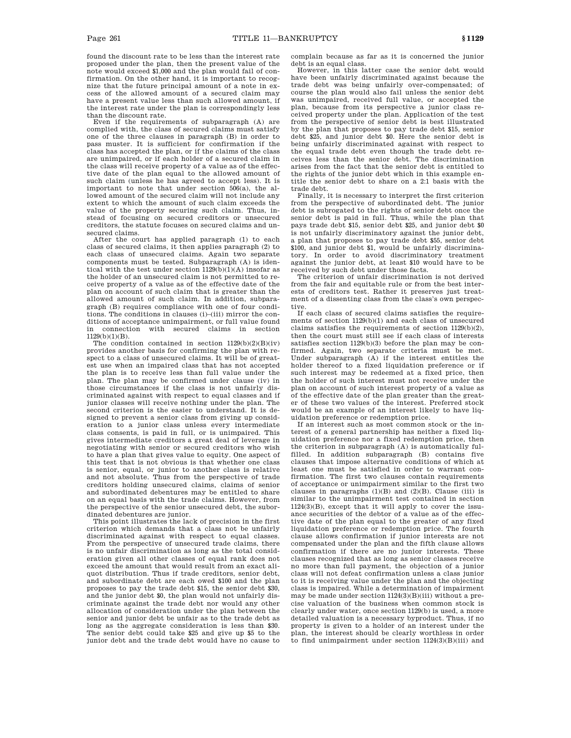found the discount rate to be less than the interest rate proposed under the plan, then the present value of the note would exceed \$1,000 and the plan would fail of confirmation. On the other hand, it is important to recognize that the future principal amount of a note in excess of the allowed amount of a secured claim may have a present value less than such allowed amount, if the interest rate under the plan is correspondingly less than the discount rate.

Even if the requirements of subparagraph (A) are complied with, the class of secured claims must satisfy one of the three clauses in paragraph (B) in order to pass muster. It is sufficient for confirmation if the class has accepted the plan, or if the claims of the class are unimpaired, or if each holder of a secured claim in the class will receive property of a value as of the effective date of the plan equal to the allowed amount of such claim (unless he has agreed to accept less). It is important to note that under section 506(a), the allowed amount of the secured claim will not include any extent to which the amount of such claim exceeds the value of the property securing such claim. Thus, instead of focusing on secured creditors or unsecured creditors, the statute focuses on secured claims and unsecured claims.

After the court has applied paragraph (1) to each class of secured claims, it then applies paragraph (2) to each class of unsecured claims. Again two separate components must be tested. Subparagraph (A) is identical with the test under section 1129(b)(1)(A) insofar as the holder of an unsecured claim is not permitted to receive property of a value as of the effective date of the plan on account of such claim that is greater than the allowed amount of such claim. In addition, subparagraph (B) requires compliance with one of four conditions. The conditions in clauses (i)–(iii) mirror the conditions of acceptance unimpairment, or full value found in connection with secured claims in section 1129(b)(1)(B).

The condition contained in section 1129(b)(2)(B)(iv) provides another basis for confirming the plan with respect to a class of unsecured claims. It will be of greatest use when an impaired class that has not accepted the plan is to receive less than full value under the plan. The plan may be confirmed under clause (iv) in those circumstances if the class is not unfairly discriminated against with respect to equal classes and if junior classes will receive nothing under the plan. The second criterion is the easier to understand. It is designed to prevent a senior class from giving up consideration to a junior class unless every intermediate class consents, is paid in full, or is unimpaired. This gives intermediate creditors a great deal of leverage in negotiating with senior or secured creditors who wish to have a plan that gives value to equity. One aspect of this test that is not obvious is that whether one class is senior, equal, or junior to another class is relative and not absolute. Thus from the perspective of trade creditors holding unsecured claims, claims of senior and subordinated debentures may be entitled to share on an equal basis with the trade claims. However, from the perspective of the senior unsecured debt, the subordinated debentures are junior.

This point illustrates the lack of precision in the first criterion which demands that a class not be unfairly discriminated against with respect to equal classes. From the perspective of unsecured trade claims, there is no unfair discrimination as long as the total consideration given all other classes of equal rank does not exceed the amount that would result from an exact aliquot distribution. Thus if trade creditors, senior debt, and subordinate debt are each owed \$100 and the plan proposes to pay the trade debt \$15, the senior debt \$30, and the junior debt \$0, the plan would not unfairly discriminate against the trade debt nor would any other allocation of consideration under the plan between the senior and junior debt be unfair as to the trade debt as long as the aggregate consideration is less than \$30. The senior debt could take \$25 and give up \$5 to the junior debt and the trade debt would have no cause to

complain because as far as it is concerned the junior debt is an equal class.

However, in this latter case the senior debt would have been unfairly discriminated against because the trade debt was being unfairly over-compensated; of course the plan would also fail unless the senior debt was unimpaired, received full value, or accepted the plan, because from its perspective a junior class received property under the plan. Application of the test from the perspective of senior debt is best illustrated by the plan that proposes to pay trade debt \$15, senior debt \$25, and junior debt \$0. Here the senior debt is being unfairly discriminated against with respect to the equal trade debt even though the trade debt receives less than the senior debt. The discrimination arises from the fact that the senior debt is entitled to the rights of the junior debt which in this example entitle the senior debt to share on a 2:1 basis with the trade debt.

Finally, it is necessary to interpret the first criterion from the perspective of subordinated debt. The junior debt is subrogated to the rights of senior debt once the senior debt is paid in full. Thus, while the plan that pays trade debt \$15, senior debt \$25, and junior debt \$0 is not unfairly discriminatory against the junior debt, a plan that proposes to pay trade debt \$55, senior debt \$100, and junior debt \$1, would be unfairly discriminatory. In order to avoid discriminatory treatment against the junior debt, at least \$10 would have to be received by such debt under those facts.

The criterion of unfair discrimination is not derived from the fair and equitable rule or from the best interests of creditors test. Rather it preserves just treatment of a dissenting class from the class's own perspective.

If each class of secured claims satisfies the requirements of section 1129(b)(1) and each class of unsecured claims satisfies the requirements of section 1129(b)(2), then the court must still see if each class of interests satisfies section 1129(b)(3) before the plan may be confirmed. Again, two separate criteria must be met. Under subparagraph (A) if the interest entitles the holder thereof to a fixed liquidation preference or if such interest may be redeemed at a fixed price, then the holder of such interest must not receive under the plan on account of such interest property of a value as of the effective date of the plan greater than the greater of these two values of the interest. Preferred stock would be an example of an interest likely to have liquidation preference or redemption price.

If an interest such as most common stock or the interest of a general partnership has neither a fixed liquidation preference nor a fixed redemption price, then the criterion in subparagraph (A) is automatically fulfilled. In addition subparagraph (B) contains five clauses that impose alternative conditions of which at least one must be satisfied in order to warrant confirmation. The first two clauses contain requirements of acceptance or unimpairment similar to the first two clauses in paragraphs  $(1)(B)$  and  $(2)(B)$ . Clause (iii) is similar to the unimpairment test contained in section 1124(3)(B), except that it will apply to cover the issuance securities of the debtor of a value as of the effective date of the plan equal to the greater of any fixed liquidation preference or redemption price. The fourth clause allows confirmation if junior interests are not compensated under the plan and the fifth clause allows confirmation if there are no junior interests. These clauses recognized that as long as senior classes receive no more than full payment, the objection of a junior class will not defeat confirmation unless a class junior to it is receiving value under the plan and the objecting class is impaired. While a determination of impairment may be made under section 1124(3)(B)(iii) without a precise valuation of the business when common stock is clearly under water, once section 1129(b) is used, a more detailed valuation is a necessary byproduct. Thus, if no property is given to a holder of an interest under the plan, the interest should be clearly worthless in order to find unimpairment under section 1124(3)(B)(iii) and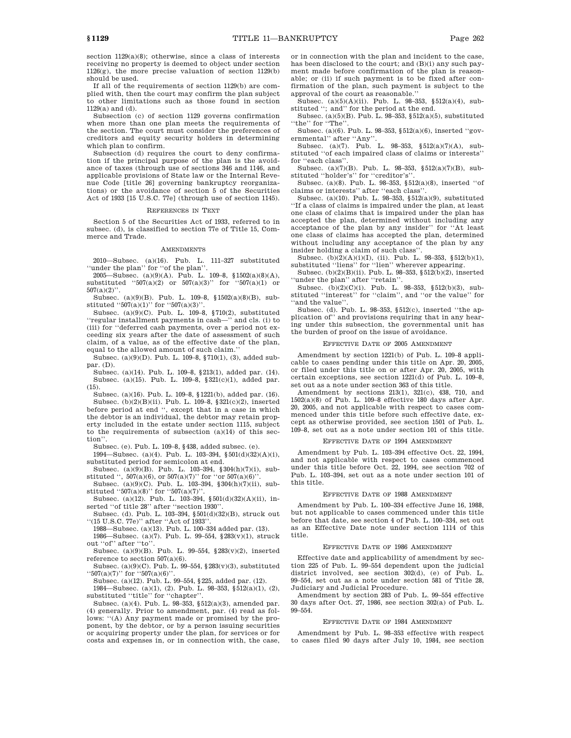section 1129(a)(8); otherwise, since a class of interests receiving no property is deemed to object under section 1126(g), the more precise valuation of section 1129(b) should be used.

If all of the requirements of section 1129(b) are complied with, then the court may confirm the plan subject to other limitations such as those found in section 1129(a) and (d).

Subsection (c) of section 1129 governs confirmation when more than one plan meets the requirements of the section. The court must consider the preferences of creditors and equity security holders in determining which plan to confirm.

Subsection (d) requires the court to deny confirmation if the principal purpose of the plan is the avoidance of taxes (through use of sections 346 and 1146, and applicable provisions of State law or the Internal Revenue Code [title 26] governing bankruptcy reorganizations) or the avoidance of section 5 of the Securities Act of 1933 [15 U.S.C. 77e] (through use of section 1145).

#### REFERENCES IN TEXT

Section 5 of the Securities Act of 1933, referred to in subsec. (d), is classified to section 77e of Title 15, Commerce and Trade.

#### AMENDMENTS

2010—Subsec. (a)(16). Pub. L. 111–327 substituted ''under the plan'' for ''of the plan''.

2005—Subsec. (a)(9)(A). Pub. L. 109–8, §1502(a)(8)(A), substituted " $507(a)(2)$  or  $507(a)(3)$ " for " $507(a)(1)$  or  $507(a)(2)$ ".

Subsec. (a)(9)(B). Pub. L. 109–8, §1502(a)(8)(B), substituted " $507(a)(1)$ " for " $507(a)(3)$ "

Subsec. (a) $(9)(C)$ . Pub. L. 109-8, §710(2), substituted ''regular installment payments in cash—'' and cls. (i) to (iii) for ''deferred cash payments, over a period not exceeding six years after the date of assessment of such claim, of a value, as of the effective date of the plan, equal to the allowed amount of such claim.

Subsec. (a)(9)(D). Pub. L. 109–8, §710(1), (3), added subpar. (D).

Subsec. (a)(14). Pub. L. 109–8, §213(1), added par. (14). Subsec. (a)(15). Pub. L. 109–8, §321(c)(1), added par.  $(15)$ .

Subsec. (a)(16). Pub. L. 109–8, §1221(b), added par. (16).

Subsec. (b)(2)(B)(ii). Pub. L. 109–8, §321(c)(2), inserted before period at end '', except that in a case in which the debtor is an individual, the debtor may retain property included in the estate under section 1115, subject to the requirements of subsection  $(a)(14)$  of this section''.

Subsec. (e). Pub. L. 109–8, §438, added subsec. (e). 1994—Subsec. (a)(4). Pub. L. 103–394, §501(d)(32)(A)(i),

substituted period for semicolon at end. Subsec. (a)(9)(B). Pub. L. 103–394, §304(h)(7)(i), sub-

stituted ",  $507(a)(6)$ , or  $507(a)(7)$ " for "or  $507(a)(6)$ ".

Subsec. (a)(9)(C). Pub. L. 103–394, §304(h)(7)(ii), substituted '' $507(a)(8)$ '' for '' $507(a)(7)$ ''.

Subsec. (a)(12). Pub. L. 103-394,  $\delta$ 501(d)(32)(A)(ii), inserted "of title 28" after "section 1930".

Subsec. (d). Pub. L. 103–394, §501(d)(32)(B), struck out ''(15 U.S.C. 77e)'' after ''Act of 1933''.

1988—Subsec. (a)(13). Pub. L. 100–334 added par. (13).

1986—Subsec. (a)(7). Pub. L. 99–554, §283(v)(1), struck

out ''of'' after ''to''. Subsec. (a)(9)(B). Pub. L. 99–554, §283(v)(2), inserted reference to section 507(a)(6).

Subsec. (a)(9)(C). Pub. L. 99–554, §283(y)(3), substituted  $(507(a)(7)$ " for  $(507(a)(6)$ ".

Subsec. (a)(12). Pub. L. 99–554, §225, added par. (12).

1984—Subsec. (a)(1), (2). Pub. L. 98–353, §512(a)(1), (2), substituted ''title'' for ''chapter''.

Subsec. (a)(4). Pub. L. 98–353, §512(a)(3), amended par. (4) generally. Prior to amendment, par. (4) read as follows: ''(A) Any payment made or promised by the proponent, by the debtor, or by a person issuing securities or acquiring property under the plan, for services or for costs and expenses in, or in connection with, the case, or in connection with the plan and incident to the case, has been disclosed to the court; and (B)(i) any such payment made before confirmation of the plan is reasonable; or (ii) if such payment is to be fixed after confirmation of the plan, such payment is subject to the approval of the court as reasonable.''

Subsec. (a)(5)(A)(ii). Pub. L. 98-353, §512(a)(4), substituted ''; and'' for the period at the end.

Subsec.  $(a)(5)(B)$ . Pub. L. 98-353, §512 $(a)(5)$ , substituted 'the'' for "The"

Subsec. (a)(6). Pub. L. 98–353, §512(a)(6), inserted ''governmental'' after ''Any''.

Subsec. (a)(7). Pub. L. 98–353, §512(a)(7)(A), substituted ''of each impaired class of claims or interests'' for ''each class''.

Subsec. (a)(7)(B). Pub. L. 98–353, §512(a)(7)(B), substituted "holder's" for "creditor's".

Subsec. (a)(8). Pub. L. 98–353, §512(a)(8), inserted ''of claims or interests'' after ''each class''.

Subsec. (a)(10). Pub. L. 98–353, §512(a)(9), substituted ''If a class of claims is impaired under the plan, at least one class of claims that is impaired under the plan has accepted the plan, determined without including any acceptance of the plan by any insider'' for ''At least one class of claims has accepted the plan, determined without including any acceptance of the plan by any insider holding a claim of such class''.

Subsec. (b)(2)(A)(i)(I), (ii). Pub. L. 98–353, §512(b)(1), substituted ''liens'' for ''lien'' wherever appearing.

Subsec. (b)(2)(B)(ii). Pub. L. 98–353, §512(b)(2), inserted ''under the plan'' after ''retain''.

Subsec. (b)(2)(C)(i). Pub. L. 98–353, §512(b)(3), substituted ''interest'' for ''claim'', and ''or the value'' for ''and the value''.

Subsec. (d). Pub. L. 98–353, §512(c), inserted ''the application of'' and provisions requiring that in any hearing under this subsection, the governmental unit has the burden of proof on the issue of avoidance.

### EFFECTIVE DATE OF 2005 AMENDMENT

Amendment by section 1221(b) of Pub. L. 109–8 applicable to cases pending under this title on Apr. 20, 2005, or filed under this title on or after Apr. 20, 2005, with certain exceptions, see section 1221(d) of Pub. L. 109–8, set out as a note under section 363 of this title.

Amendment by sections 213(1), 321(c), 438, 710, and 1502(a)(8) of Pub. L. 109–8 effective 180 days after Apr. 20, 2005, and not applicable with respect to cases commenced under this title before such effective date, except as otherwise provided, see section 1501 of Pub. L. 109–8, set out as a note under section 101 of this title.

#### EFFECTIVE DATE OF 1994 AMENDMENT

Amendment by Pub. L. 103–394 effective Oct. 22, 1994, and not applicable with respect to cases commenced under this title before Oct. 22, 1994, see section 702 of Pub. L. 103–394, set out as a note under section 101 of this title.

### EFFECTIVE DATE OF 1988 AMENDMENT

Amendment by Pub. L. 100–334 effective June 16, 1988, but not applicable to cases commenced under this title before that date, see section 4 of Pub. L. 100–334, set out as an Effective Date note under section 1114 of this title.

## EFFECTIVE DATE OF 1986 AMENDMENT

Effective date and applicability of amendment by section 225 of Pub. L. 99–554 dependent upon the judicial district involved, see section 302(d), (e) of Pub. L. 99–554, set out as a note under section 581 of Title 28, Judiciary and Judicial Procedure.

Amendment by section 283 of Pub. L. 99–554 effective 30 days after Oct. 27, 1986, see section 302(a) of Pub. L. 99–554.

### EFFECTIVE DATE OF 1984 AMENDMENT

Amendment by Pub. L. 98–353 effective with respect to cases filed 90 days after July 10, 1984, see section